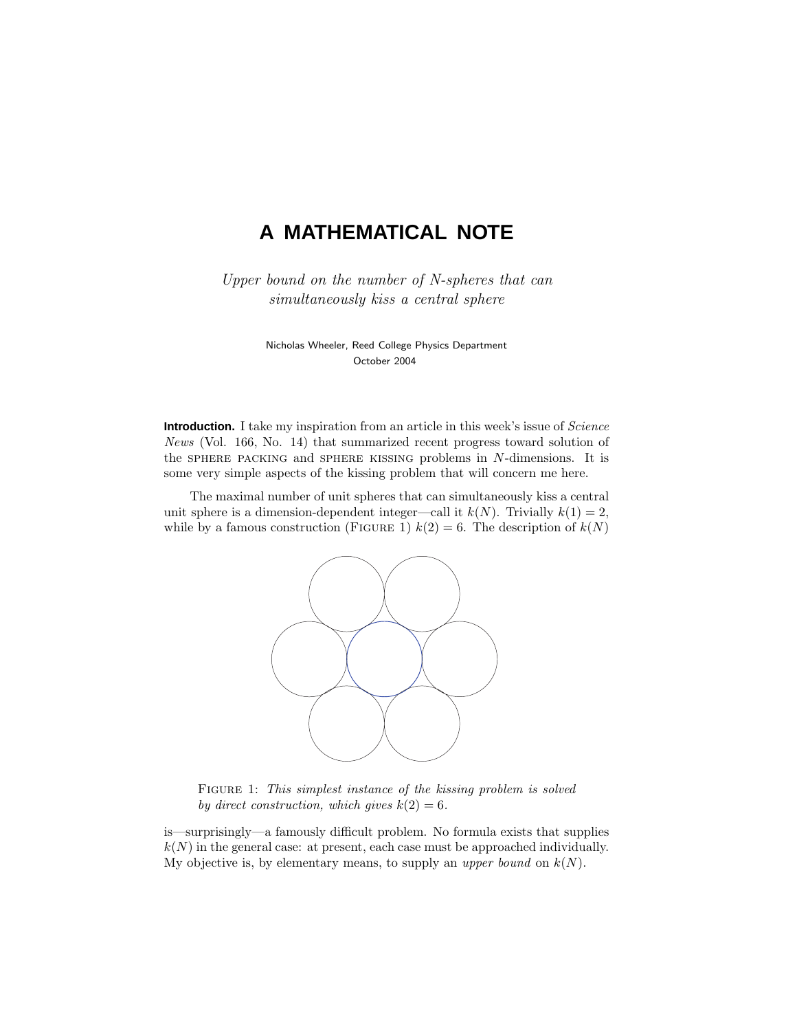# **A MATHEMATICAL NOTE**

Upper bound on the number of N-spheres that can simultaneously kiss a central sphere

> Nicholas Wheeler, Reed College Physics Department October 2004

**Introduction.** I take my inspiration from an article in this week's issue of *Science* News (Vol. 166, No. 14) that summarized recent progress toward solution of the sphere packing and sphere kissing problems in N-dimensions. It is some very simple aspects of the kissing problem that will concern me here.

The maximal number of unit spheres that can simultaneously kiss a central unit sphere is a dimension-dependent integer—call it  $k(N)$ . Trivially  $k(1) = 2$ , while by a famous construction (FIGURE 1)  $k(2) = 6$ . The description of  $k(N)$ 



FIGURE 1: This simplest instance of the kissing problem is solved by direct construction, which gives  $k(2) = 6$ .

is—surprisingly—a famously difficult problem. No formula exists that supplies  $k(N)$  in the general case: at present, each case must be approached individually. My objective is, by elementary means, to supply an upper bound on  $k(N)$ .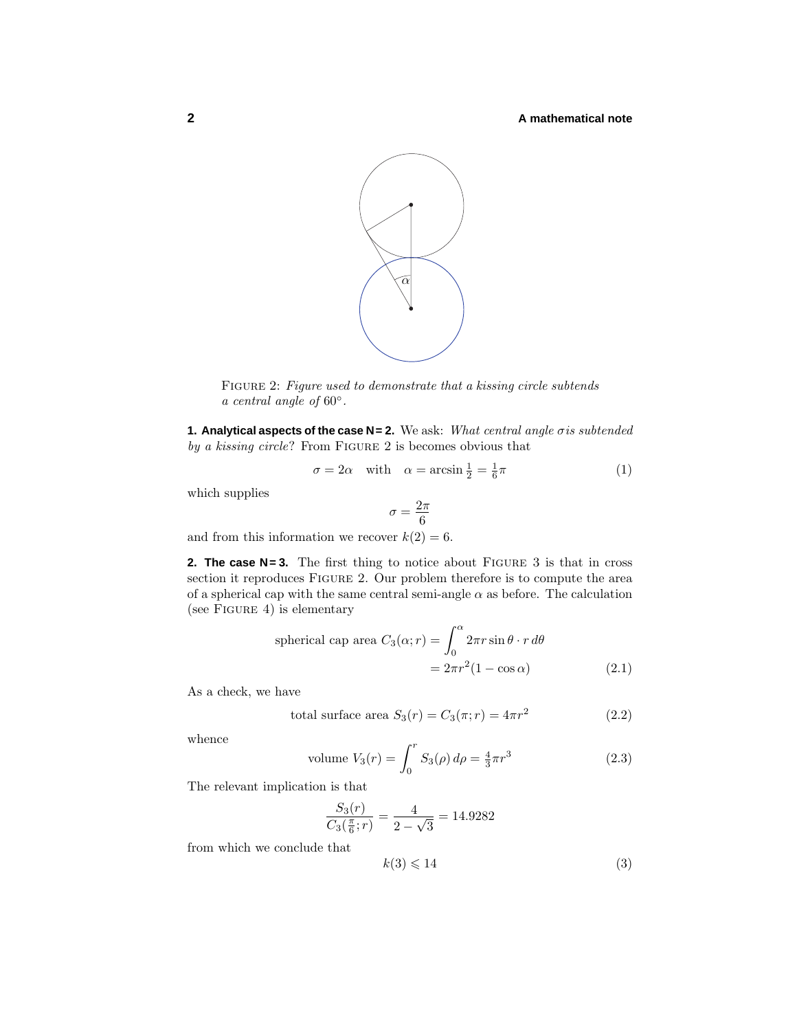#### **2 A mathematical note**



Figure 2: Figure used to demonstrate that a kissing circle subtends a central angle of  $60^\circ$ .

**1. Analytical aspects of the case N= 2.** We ask: What central angle  $\sigma$  is subtended by a kissing circle? From FIGURE 2 is becomes obvious that

$$
\sigma = 2\alpha \quad \text{with} \quad \alpha = \arcsin\frac{1}{2} = \frac{1}{6}\pi \tag{1}
$$

which supplies

$$
\sigma = \frac{2\pi}{6}
$$

and from this information we recover  $k(2) = 6$ .

**2. The case N= 3.** The first thing to notice about FIGURE 3 is that in cross section it reproduces FIGURE 2. Our problem therefore is to compute the area of a spherical cap with the same central semi-angle  $\alpha$  as before. The calculation (see FIGURE 4) is elementary

spherical cap area 
$$
C_3(\alpha; r) = \int_0^{\alpha} 2\pi r \sin \theta \cdot r d\theta
$$
  
=  $2\pi r^2 (1 - \cos \alpha)$  (2.1)

As a check, we have

total surface area 
$$
S_3(r) = C_3(\pi; r) = 4\pi r^2
$$
 (2.2)

whence

volume 
$$
V_3(r) = \int_0^r S_3(\rho) d\rho = \frac{4}{3}\pi r^3
$$
 (2.3)

The relevant implication is that

$$
\frac{S_3(r)}{C_3(\frac{\pi}{6};r)} = \frac{4}{2-\sqrt{3}} = 14.9282
$$

from which we conclude that

$$
k(3) \leqslant 14\tag{3}
$$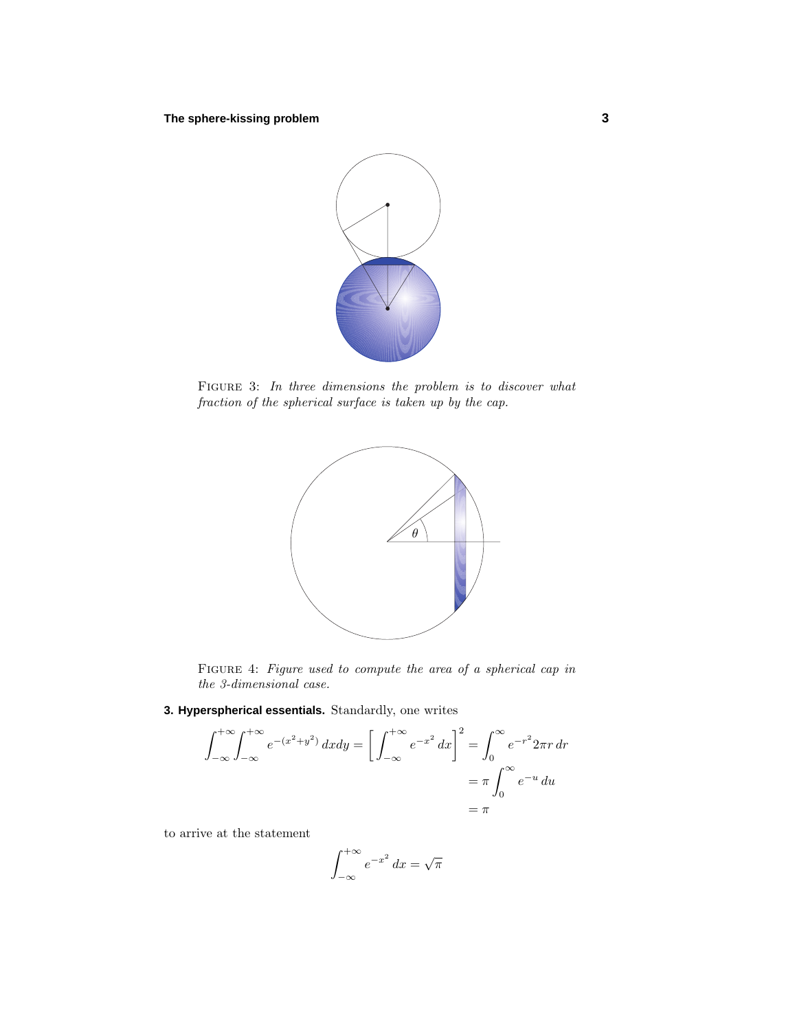

FIGURE 3: In three dimensions the problem is to discover what fraction of the spherical surface is taken up by the cap.



Figure 4: Figure used to compute the area of a spherical cap in the 3-dimensional case.

**3. Hyperspherical essentials.** Standardly, one writes

$$
\int_{-\infty}^{+\infty} \int_{-\infty}^{+\infty} e^{-(x^2+y^2)} dx dy = \left[ \int_{-\infty}^{+\infty} e^{-x^2} dx \right]^2 = \int_0^{\infty} e^{-r^2} 2\pi r dr
$$

$$
= \pi \int_0^{\infty} e^{-u} du
$$

$$
= \pi
$$

to arrive at the statement

$$
\int_{-\infty}^{+\infty} e^{-x^2} \, dx = \sqrt{\pi}
$$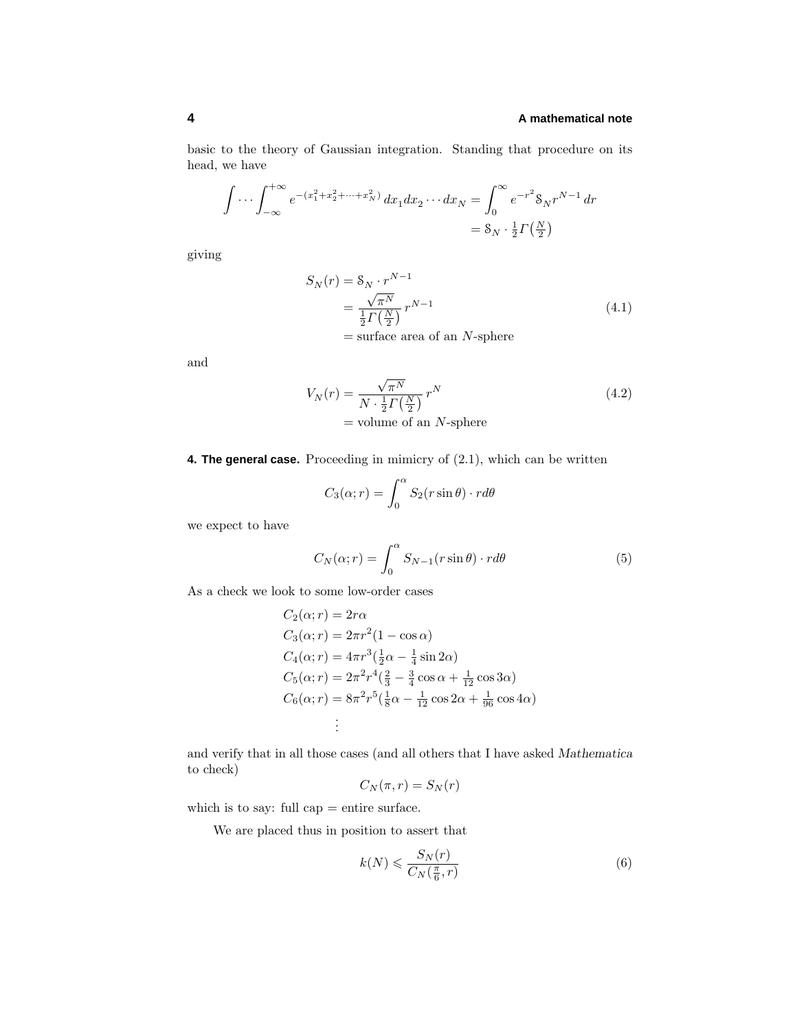#### **4 A mathematical note**

basic to the theory of Gaussian integration. Standing that procedure on its head, we have

$$
\int \cdots \int_{-\infty}^{+\infty} e^{-(x_1^2 + x_2^2 + \cdots + x_N^2)} dx_1 dx_2 \cdots dx_N = \int_0^{\infty} e^{-r^2} 8_N r^{N-1} dr
$$
  
=  $8_N \cdot \frac{1}{2} \Gamma(\frac{N}{2})$ 

giving

$$
S_N(r) = S_N \cdot r^{N-1}
$$
  
=  $\frac{\sqrt{\pi^N}}{\frac{1}{2} \Gamma(\frac{N}{2})} r^{N-1}$   
= surface area of an *N*-sphere (4.1)

and

$$
V_N(r) = \frac{\sqrt{\pi^N}}{N \cdot \frac{1}{2} \Gamma\left(\frac{N}{2}\right)} r^N
$$
  
= volume of an *N*-sphere (4.2)

**4. The general case.** Proceeding in mimicry of  $(2.1)$ , which can be written

$$
C_3(\alpha; r) = \int_0^\alpha S_2(r \sin \theta) \cdot r d\theta
$$

we expect to have

$$
C_N(\alpha; r) = \int_0^\alpha S_{N-1}(r\sin\theta) \cdot r d\theta \tag{5}
$$

As a check we look to some low-order cases

$$
C_2(\alpha; r) = 2r\alpha
$$
  
\n
$$
C_3(\alpha; r) = 2\pi r^2 (1 - \cos \alpha)
$$
  
\n
$$
C_4(\alpha; r) = 4\pi r^3 (\frac{1}{2}\alpha - \frac{1}{4}\sin 2\alpha)
$$
  
\n
$$
C_5(\alpha; r) = 2\pi^2 r^4 (\frac{2}{3} - \frac{3}{4}\cos \alpha + \frac{1}{12}\cos 3\alpha)
$$
  
\n
$$
C_6(\alpha; r) = 8\pi^2 r^5 (\frac{1}{8}\alpha - \frac{1}{12}\cos 2\alpha + \frac{1}{96}\cos 4\alpha)
$$
  
\n
$$
\vdots
$$

and verify that in all those cases (and all others that I have asked *Mathematica* to check)

$$
C_N(\pi, r) = S_N(r)
$$

which is to say: full cap = entire surface.

We are placed thus in position to assert that

$$
k(N) \leqslant \frac{S_N(r)}{C_N(\frac{\pi}{6}, r)}\tag{6}
$$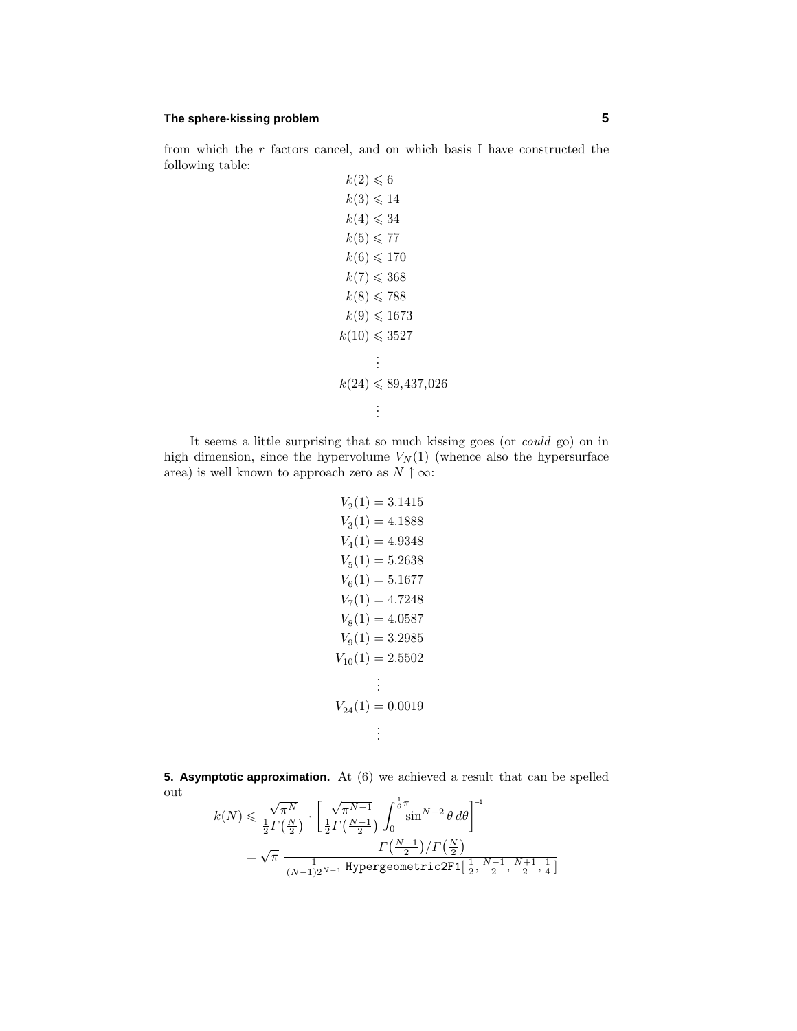# **The sphere-kissing problem 5**

from which the  $r$  factors cancel, and on which basis I have constructed the following table:  $k(2) < \epsilon$ 

$$
k(2) \leq 6
$$
  
\n
$$
k(3) \leq 14
$$
  
\n
$$
k(4) \leq 34
$$
  
\n
$$
k(5) \leq 77
$$
  
\n
$$
k(6) \leq 170
$$
  
\n
$$
k(7) \leq 368
$$
  
\n
$$
k(8) \leq 788
$$
  
\n
$$
k(9) \leq 1673
$$
  
\n
$$
k(10) \leq 3527
$$
  
\n:  
\n:  
\n
$$
k(24) \leq 89,437,026
$$
  
\n:  
\n:

It seems a little surprising that so much kissing goes (or could go) on in high dimension, since the hypervolume  $V_N(1)$  (whence also the hypersurface area) is well known to approach zero as  $N \uparrow \infty$ :

$$
V_2(1) = 3.1415
$$
  
\n
$$
V_3(1) = 4.1888
$$
  
\n
$$
V_4(1) = 4.9348
$$
  
\n
$$
V_5(1) = 5.2638
$$
  
\n
$$
V_6(1) = 5.1677
$$
  
\n
$$
V_7(1) = 4.7248
$$
  
\n
$$
V_8(1) = 4.0587
$$
  
\n
$$
V_9(1) = 3.2985
$$
  
\n
$$
V_{10}(1) = 2.5502
$$
  
\n:  
\n:  
\n
$$
V_{24}(1) = 0.0019
$$
  
\n:  
\n:

**5. Asymptotic approximation.** At (6) we achieved a result that can be spelled out √

$$
\begin{aligned} k(N) &\leqslant \frac{\sqrt{\pi^N}}{\frac{1}{2}\varGamma\left(\frac{N}{2}\right)} \cdot \left[ \frac{\sqrt{\pi^{N-1}}}{\frac{1}{2}\varGamma\left(\frac{N-1}{2}\right)} \int_0^{\frac{1}{6}\pi} \sin^{N-2}\theta\,d\theta \right]^{-1} \\ &= \sqrt{\pi}\,\frac{\varGamma\left(\frac{N-1}{2}\right)/\varGamma\left(\frac{N}{2}\right)}{\frac{1}{(N-1)2^{N-1}}\,\text{Hypergeometric2F1}[\,\frac{1}{2},\frac{N-1}{2},\frac{N+1}{2},\frac{1}{4}\,]}\end{aligned}
$$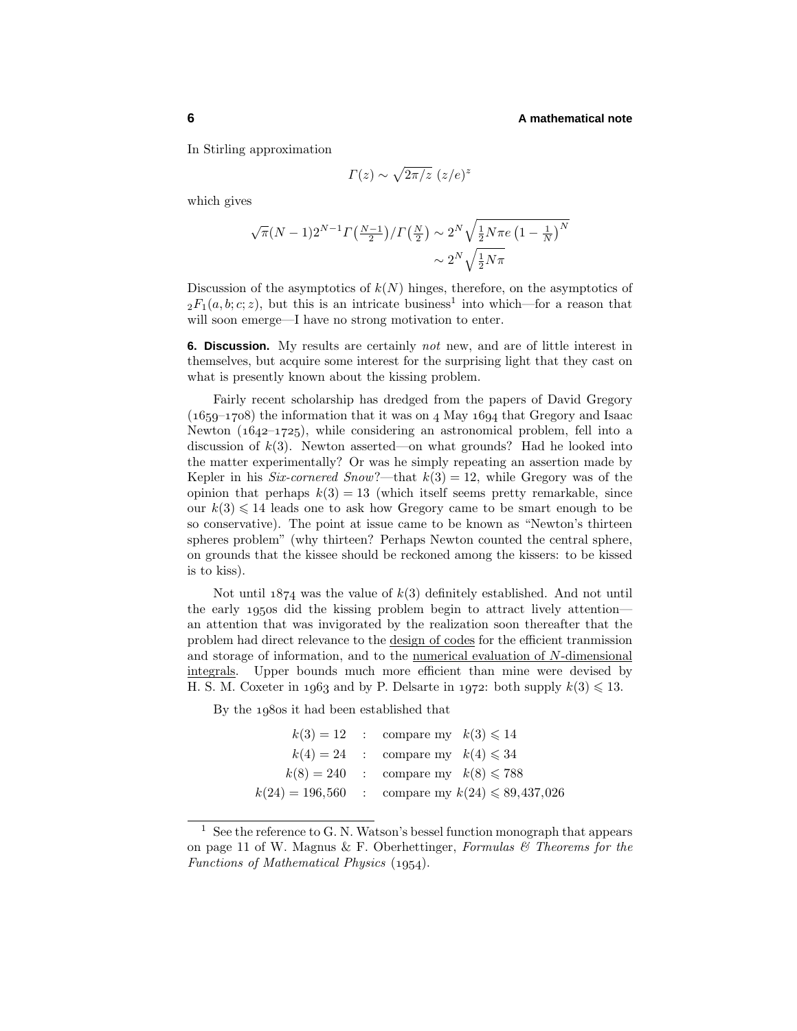#### **6 A mathematical note**

In Stirling approximation

$$
\Gamma(z) \sim \sqrt{2\pi/z} \ (z/e)^z
$$

which gives

$$
\sqrt{\pi}(N-1)2^{N-1}\Gamma(\frac{N-1}{2})/\Gamma(\frac{N}{2}) \sim 2^N \sqrt{\frac{1}{2}N\pi e \left(1 - \frac{1}{N}\right)^N}
$$
  
 $\sim 2^N \sqrt{\frac{1}{2}N\pi}$ 

Discussion of the asymptotics of  $k(N)$  hinges, therefore, on the asymptotics of  $2F_1(a, b; c; z)$ , but this is an intricate business<sup>1</sup> into which—for a reason that will soon emerge—I have no strong motivation to enter.

**6. Discussion.** My results are certainly not new, and are of little interest in themselves, but acquire some interest for the surprising light that they cast on what is presently known about the kissing problem.

Fairly recent scholarship has dredged from the papers of David Gregory  $(1659-1708)$  the information that it was on 4 May  $1694$  that Gregory and Isaac Newton  $(1642-1725)$ , while considering an astronomical problem, fell into a discussion of  $k(3)$ . Newton asserted—on what grounds? Had he looked into the matter experimentally? Or was he simply repeating an assertion made by Kepler in his Six-cornered Snow?—that  $k(3) = 12$ , while Gregory was of the opinion that perhaps  $k(3) = 13$  (which itself seems pretty remarkable, since our  $k(3) \leq 14$  leads one to ask how Gregory came to be smart enough to be so conservative). The point at issue came to be known as "Newton's thirteen spheres problem" (why thirteen? Perhaps Newton counted the central sphere, on grounds that the kissee shouldbe reckonedamong the kissers: to be kissed is to kiss).

Not until  $1874$  was the value of  $k(3)$  definitely established. And not until the early 1950s did the kissing problem begin to attract lively attention an attention that was invigorated by the realization soon thereafter that the problem had direct relevance to the design of codes for the efficient tranmission and storage of information, and to the numerical evaluation of N-dimensional integrals. Upper bounds much more efficient than mine were devised by H. S. M. Coxeter in 1963 and by P. Delsarte in 1972: both supply  $k(3) \leq 13$ .

By the 1980s it had been established that

|  | $k(3) = 12$ : compare my $k(3) \leq 14$               |
|--|-------------------------------------------------------|
|  | $k(4) = 24$ : compare my $k(4) \leq 34$               |
|  | $k(8) = 240$ : compare my $k(8) \le 788$              |
|  | $k(24) = 196,560$ : compare my $k(24) \le 89,437,026$ |

<sup>&</sup>lt;sup>1</sup> See the reference to G. N. Watson's bessel function monograph that appears on page 11 of W. Magnus & F. Oberhettinger, Formulas  $\mathcal{C}$  Theorems for the Functions of Mathematical Physics  $(1954)$ .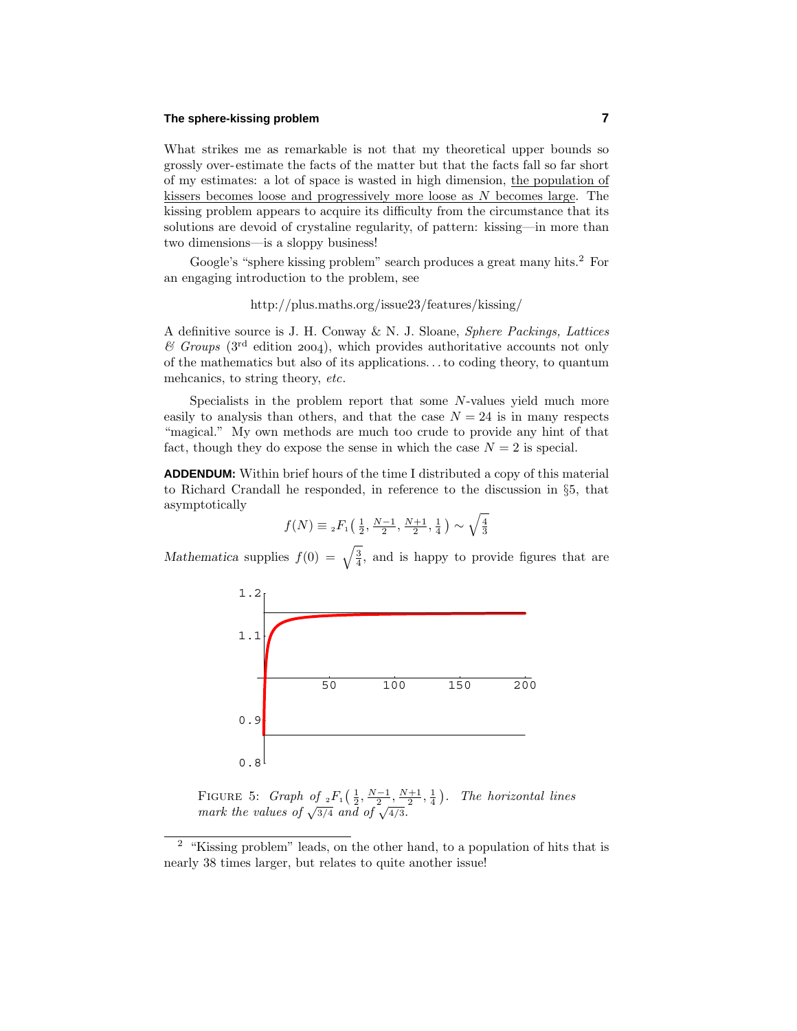#### **The sphere-kissing problem 7**

What strikes me as remarkable is not that my theoretical upper bounds so grossly over-estimate the facts of the matter but that the facts fall so far short of my estimates: a lot of space is wastedin high dimension, the population of kissers becomes loose and progressively more loose as  $N$  becomes large. The kissing problem appears to acquire its difficulty from the circumstance that its solutions are devoid of crystaline regularity, of pattern: kissing—in more than two dimensions—is a sloppy business!

Google's "sphere kissing problem" search produces a great many hits.<sup>2</sup> For an engaging introduction to the problem, see

## http://plus.maths.org/issue23/features/kissing/

A definitive source is J. H. Conway & N. J. Sloane, Sphere Packings, Lattices  $\mathscr C$  Groups (3<sup>rd</sup> edition 2004), which provides authoritative accounts not only of the mathematics but also of its applications...to coding theory, to quantum mehcanics, to string theory, etc.

Specialists in the problem report that some  $N$ -values yield much more easily to analysis than others, and that the case  $N = 24$  is in many respects "magical." My own methods are much too crude to provide any hint of that fact, though they do expose the sense in which the case  $N = 2$  is special.

**ADDENDUM:** Within brief hours of the time I distributed a copy of this material to Richard Crandall he responded, in reference to the discussion in §5, that asymptotically

$$
f(N) \equiv {}_{2}F_{1}\left(\frac{1}{2}, \frac{N-1}{2}, \frac{N+1}{2}, \frac{1}{4}\right) \sim \sqrt{\frac{4}{3}}
$$

*Mathematica* supplies  $f(0) = \sqrt{\frac{3}{4}}$ , and is happy to provide figures that are



FIGURE 5: *Graph of*  $_2F_1(\frac{1}{2}, \frac{N-1}{2}, \frac{N+1}{2}, \frac{1}{4})$ . The horizontal lines mark the values of  $\sqrt{3/4}$  and of  $\sqrt{4/3}$ .

<sup>&</sup>lt;sup>2</sup> "Kissing problem" leads, on the other hand, to a population of hits that is nearly 38 times larger, but relates to quite another issue!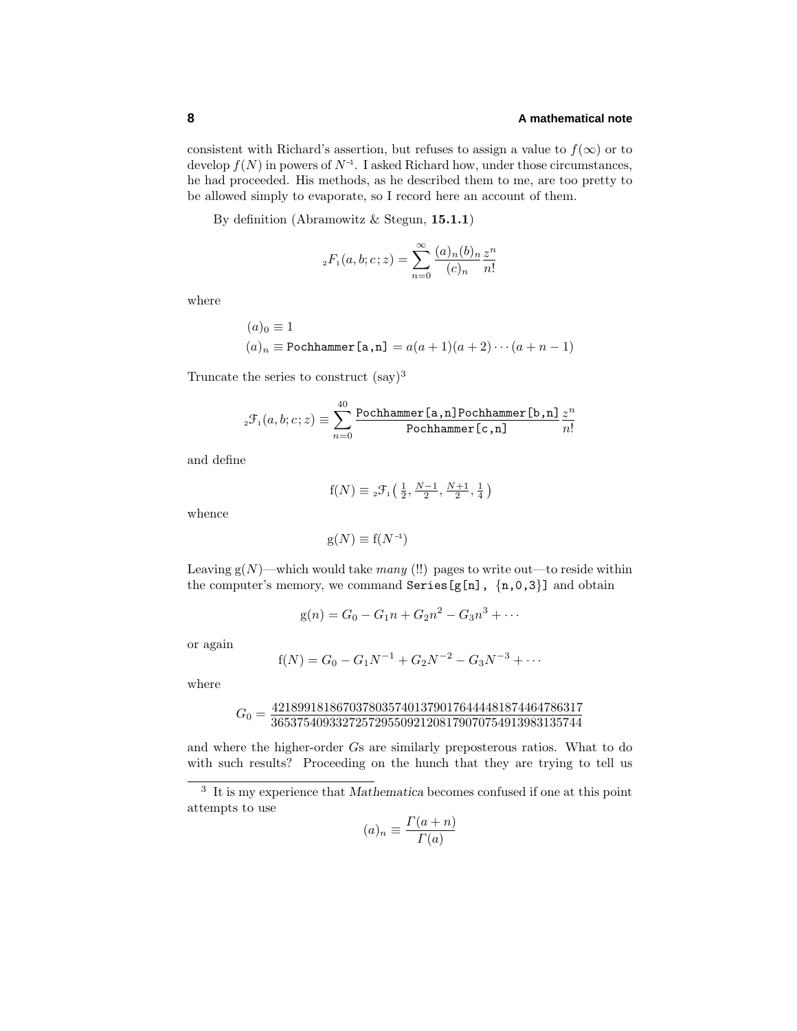consistent with Richard's assertion, but refuses to assign a value to  $f(\infty)$  or to develop  $f(N)$  in powers of  $N^{-1}$ . I asked Richard how, under those circumstances, he had proceeded. His methods, as he described them to me, are too pretty to be allowed simply to evaporate, so I record here an account of them.

By definition (Abramowitz & Stegun, **15.1.1**)

$$
_2F_1(a, b; c; z) = \sum_{n=0}^{\infty} \frac{(a)_n(b)_n}{(c)_n} \frac{z^n}{n!}
$$

where

$$
(a)0 \equiv 1
$$
  

$$
(a)n \equiv \text{Pochhammer[a,n]} = a(a+1)(a+2)\cdots(a+n-1)
$$

Truncate the series to construct  $(say)^3$ 

$$
{}_{2}\mathcal{F}_{1}(a,b;c;z) \equiv \sum_{n=0}^{40} \frac{\text{Pochhammer [a,n] Pochhammer [b,n] } z^{n}}{\text{Pochhammer [c,n] } n!}
$$

and define

$$
f(N) \equiv {}_{2}\mathcal{F}_{1}\left(\frac{1}{2}, \frac{N-1}{2}, \frac{N+1}{2}, \frac{1}{4}\right)
$$

whence

$$
g(N) \equiv f(N^{-1})
$$

Leaving  $g(N)$ —which would take many (!!) pages to write out—to reside within the computer's memory, we command Series [g[n],  $\{n, 0, 3\}$ ] and obtain

$$
g(n) = G_0 - G_1 n + G_2 n^2 - G_3 n^3 + \cdots
$$

or again

$$
f(N) = G_0 - G_1 N^{-1} + G_2 N^{-2} - G_3 N^{-3} + \cdots
$$

where

$$
G_0=\frac{421899181867037803574013790176444481874464786317}{365375409332725729550921208179070754913983135744}
$$

and where the higher-order Gs are similarly preposterous ratios. What to do with such results? Proceeding on the hunch that they are trying to tell us

$$
(a)_n \equiv \frac{\Gamma(a+n)}{\Gamma(a)}
$$

<sup>3</sup> It is my experience that *Mathematica* becomes confusedif one at this point attempts to use